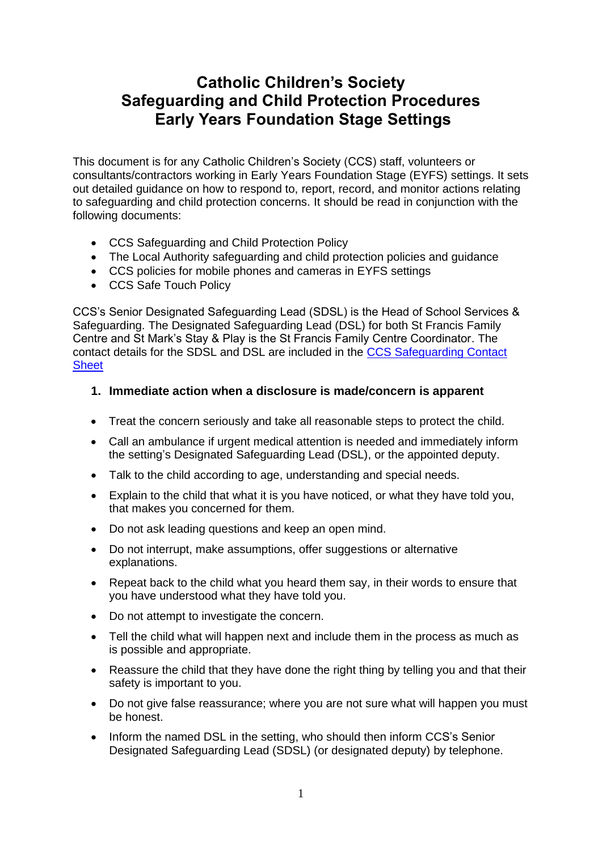# **Catholic Children's Society Safeguarding and Child Protection Procedures Early Years Foundation Stage Settings**

This document is for any Catholic Children's Society (CCS) staff, volunteers or consultants/contractors working in Early Years Foundation Stage (EYFS) settings. It sets out detailed guidance on how to respond to, report, record, and monitor actions relating to safeguarding and child protection concerns. It should be read in conjunction with the following documents:

- CCS Safeguarding and Child Protection Policy
- The Local Authority safeguarding and child protection policies and guidance
- CCS policies for mobile phones and cameras in EYFS settings
- CCS Safe Touch Policy

CCS's Senior Designated Safeguarding Lead (SDSL) is the Head of School Services & Safeguarding. The Designated Safeguarding Lead (DSL) for both St Francis Family Centre and St Mark's Stay & Play is the St Francis Family Centre Coordinator. The contact details for the SDSL and DSL are included in the [CCS Safeguarding Contact](https://www.cathchild.org.uk/wp-content/uploads/2018/10/CCS-Safeguarding-Contact-Sheet.pdf)  **[Sheet](https://www.cathchild.org.uk/wp-content/uploads/2018/10/CCS-Safeguarding-Contact-Sheet.pdf)** 

### **1. Immediate action when a disclosure is made/concern is apparent**

- Treat the concern seriously and take all reasonable steps to protect the child.
- Call an ambulance if urgent medical attention is needed and immediately inform the setting's Designated Safeguarding Lead (DSL), or the appointed deputy.
- Talk to the child according to age, understanding and special needs.
- Explain to the child that what it is you have noticed, or what they have told you, that makes you concerned for them.
- Do not ask leading questions and keep an open mind.
- Do not interrupt, make assumptions, offer suggestions or alternative explanations.
- Repeat back to the child what you heard them say, in their words to ensure that you have understood what they have told you.
- Do not attempt to investigate the concern.
- Tell the child what will happen next and include them in the process as much as is possible and appropriate.
- Reassure the child that they have done the right thing by telling you and that their safety is important to you.
- Do not give false reassurance; where you are not sure what will happen you must be honest.
- Inform the named DSL in the setting, who should then inform CCS's Senior Designated Safeguarding Lead (SDSL) (or designated deputy) by telephone.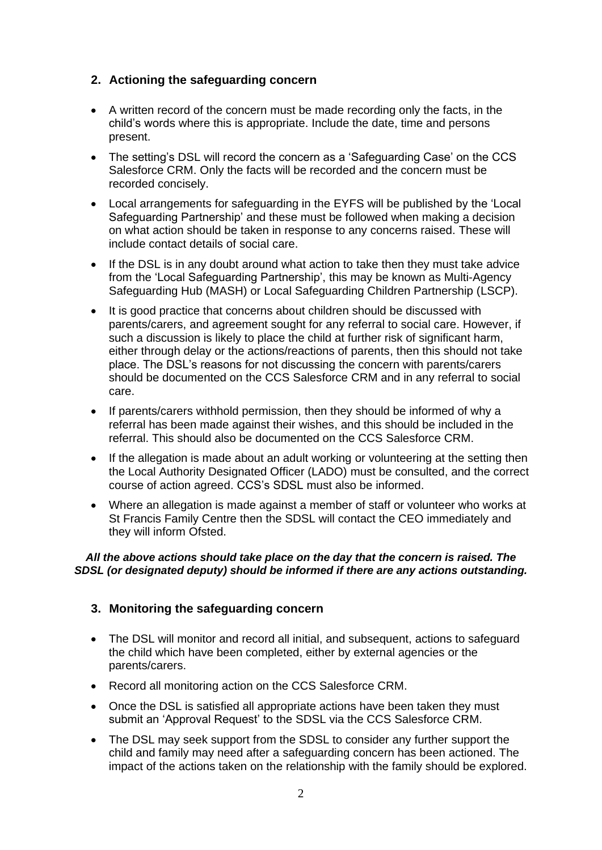## **2. Actioning the safeguarding concern**

- A written record of the concern must be made recording only the facts, in the child's words where this is appropriate. Include the date, time and persons present.
- The setting's DSL will record the concern as a 'Safeguarding Case' on the CCS Salesforce CRM. Only the facts will be recorded and the concern must be recorded concisely.
- Local arrangements for safeguarding in the EYFS will be published by the 'Local Safeguarding Partnership' and these must be followed when making a decision on what action should be taken in response to any concerns raised. These will include contact details of social care.
- If the DSL is in any doubt around what action to take then they must take advice from the 'Local Safeguarding Partnership', this may be known as Multi-Agency Safeguarding Hub (MASH) or Local Safeguarding Children Partnership (LSCP).
- It is good practice that concerns about children should be discussed with parents/carers, and agreement sought for any referral to social care. However, if such a discussion is likely to place the child at further risk of significant harm, either through delay or the actions/reactions of parents, then this should not take place. The DSL's reasons for not discussing the concern with parents/carers should be documented on the CCS Salesforce CRM and in any referral to social care.
- If parents/carers withhold permission, then they should be informed of why a referral has been made against their wishes, and this should be included in the referral. This should also be documented on the CCS Salesforce CRM.
- If the allegation is made about an adult working or volunteering at the setting then the Local Authority Designated Officer (LADO) must be consulted, and the correct course of action agreed. CCS's SDSL must also be informed.
- Where an allegation is made against a member of staff or volunteer who works at St Francis Family Centre then the SDSL will contact the CEO immediately and they will inform Ofsted.

#### *All the above actions should take place on the day that the concern is raised. The SDSL (or designated deputy) should be informed if there are any actions outstanding.*

#### **3. Monitoring the safeguarding concern**

- The DSL will monitor and record all initial, and subsequent, actions to safeguard the child which have been completed, either by external agencies or the parents/carers.
- Record all monitoring action on the CCS Salesforce CRM.
- Once the DSL is satisfied all appropriate actions have been taken they must submit an 'Approval Request' to the SDSL via the CCS Salesforce CRM.
- The DSL may seek support from the SDSL to consider any further support the child and family may need after a safeguarding concern has been actioned. The impact of the actions taken on the relationship with the family should be explored.